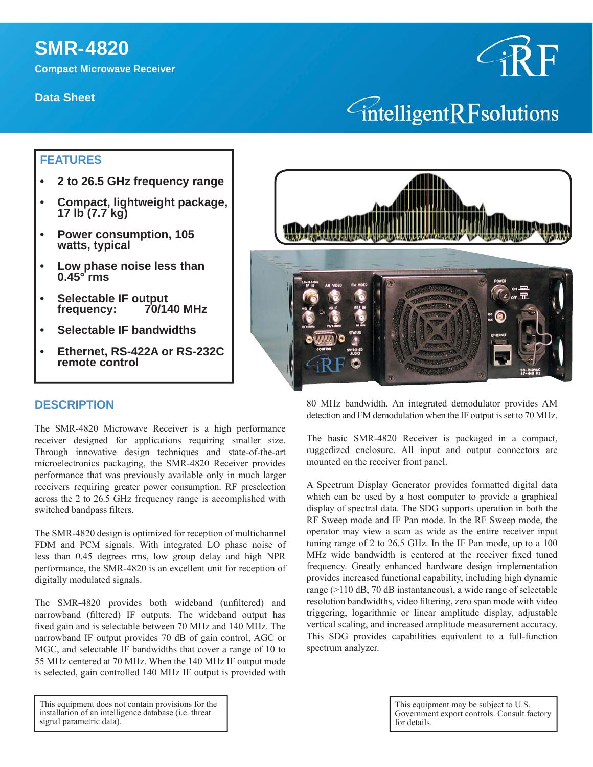# **SMR-4820**

**Compact Microwave Receiver**

**Data Sheet**



## **FEATURES**

- **2 to 26.5 GHz frequency range**
- **Compact, lightweight package, 17 lb (7.7 kg)**
- **Power consumption, 105 watts, typical**
- **Low phase noise less than 0.45° rms**
- **Selectable IF output frequency: 70/140 MHz**
- **Selectable IF bandwidths**
- **Ethernet, RS-422A or RS-232C remote control**



#### **DESCRIPTION**

The SMR-4820 Microwave Receiver is a high performance receiver designed for applications requiring smaller size. Through innovative design techniques and state-of-the-art microelectronics packaging, the SMR-4820 Receiver provides performance that was previously available only in much larger receivers requiring greater power consumption. RF preselection across the 2 to 26.5 GHz frequency range is accomplished with switched bandpass filters.

The SMR-4820 design is optimized for reception of multichannel FDM and PCM signals. With integrated LO phase noise of less than 0.45 degrees rms, low group delay and high NPR performance, the SMR-4820 is an excellent unit for reception of digitally modulated signals.

The SMR-4820 provides both wideband (unfiltered) and narrowband (filtered) IF outputs. The wideband output has fixed gain and is selectable between 70 MHz and 140 MHz. The narrowband IF output provides 70 dB of gain control, AGC or MGC, and selectable IF bandwidths that cover a range of 10 to 55 MHz centered at 70 MHz. When the 140 MHz IF output mode is selected, gain controlled 140 MHz IF output is provided with

This equipment does not contain provisions for the installation of an intelligence database (i.e. threat signal parametric data).

80 MHz bandwidth. An integrated demodulator provides AM detection and FM demodulation when the IF output is set to 70 MHz.

The basic SMR-4820 Receiver is packaged in a compact, ruggedized enclosure. All input and output connectors are mounted on the receiver front panel.

A Spectrum Display Generator provides formatted digital data which can be used by a host computer to provide a graphical display of spectral data. The SDG supports operation in both the RF Sweep mode and IF Pan mode. In the RF Sweep mode, the operator may view a scan as wide as the entire receiver input tuning range of 2 to 26.5 GHz. In the IF Pan mode, up to a 100 MHz wide bandwidth is centered at the receiver fixed tuned frequency. Greatly enhanced hardware design implementation provides increased functional capability, including high dynamic range (>110 dB, 70 dB instantaneous), a wide range of selectable resolution bandwidths, video filtering, zero span mode with video triggering, logarithmic or linear amplitude display, adjustable vertical scaling, and increased amplitude measurement accuracy. This SDG provides capabilities equivalent to a full-function spectrum analyzer.

> This equipment may be subject to U.S. Government export controls. Consult factory for details.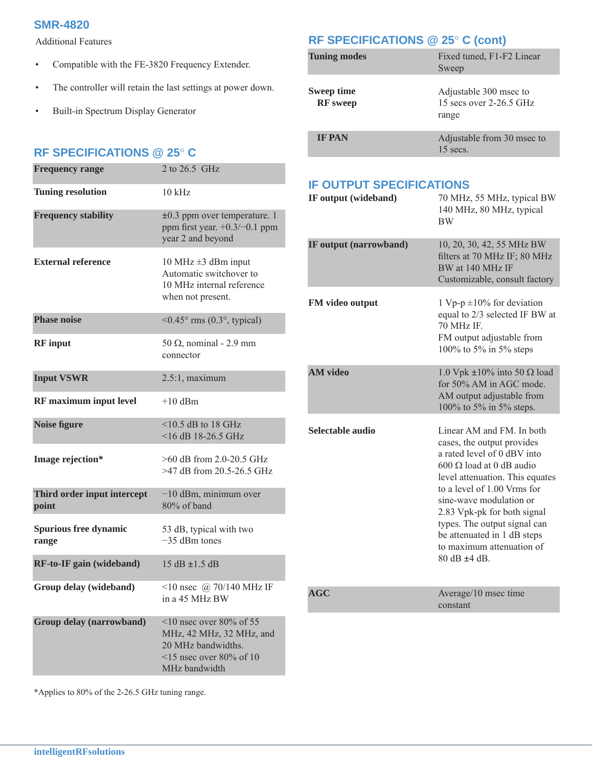#### **SMR-4820**

Additional Features

- Compatible with the FE-3820 Frequency Extender.
- The controller will retain the last settings at power down.
- Built-in Spectrum Display Generator

#### **RF SPECIFICATIONS @ 25 C**

| <b>Frequency range</b>                | 2 to 26.5 GHz                                                                                                                    |
|---------------------------------------|----------------------------------------------------------------------------------------------------------------------------------|
| <b>Tuning resolution</b>              | $10$ kHz                                                                                                                         |
| <b>Frequency stability</b>            | $\pm 0.3$ ppm over temperature. 1<br>ppm first year. $+0.3/-0.1$ ppm<br>year 2 and beyond                                        |
| <b>External reference</b>             | 10 MHz $\pm$ 3 dBm input<br>Automatic switchover to<br>10 MHz internal reference<br>when not present.                            |
| <b>Phase noise</b>                    | $\leq 0.45^{\circ}$ rms (0.3°, typical)                                                                                          |
| <b>RF</b> input                       | 50 $\Omega$ , nominal - 2.9 mm<br>connector                                                                                      |
| <b>Input VSWR</b>                     | $2.5:1$ , maximum                                                                                                                |
| <b>RF</b> maximum input level         | $+10$ dBm                                                                                                                        |
| <b>Noise figure</b>                   | $\leq$ 10.5 dB to 18 GHz<br>$<$ 16 dB 18-26.5 GHz                                                                                |
| Image rejection*                      | $>60$ dB from 2.0-20.5 GHz<br>>47 dB from 20.5-26.5 GHz                                                                          |
| Third order input intercept<br>point  | $-10$ dBm, minimum over<br>80% of band                                                                                           |
| <b>Spurious free dynamic</b><br>range | 53 dB, typical with two<br>$-35$ dBm tones                                                                                       |
| RF-to-IF gain (wideband)              | $15 dB + 15 dB$                                                                                                                  |
| Group delay (wideband)                | <10 nsec $\omega$ 70/140 MHz IF<br>in a 45 MHz BW                                                                                |
| Group delay (narrowband)              | $\leq$ 10 nsec over 80% of 55<br>MHz, 42 MHz, 32 MHz, and<br>20 MHz bandwidths.<br>$\le$ 15 nsec over 80% of 10<br>MHz bandwidth |

**RF SPECIFICATIONS @ 25 C (cont)**

| <b>Tuning modes</b>           | Fixed tuned, F1-F2 Linear<br>Sweep                         |
|-------------------------------|------------------------------------------------------------|
| Sweep time<br><b>RF</b> sweep | Adjustable 300 msec to<br>15 secs over 2-26.5 GHz<br>range |
| <b>IF PAN</b>                 | Adjustable from 30 msec to<br>$15$ secs.                   |

## **IF OUTPUT SPECIFICATIONS**

| IF output (wideband)   | 70 MHz, 55 MHz, typical BW<br>140 MHz, 80 MHz, typical<br><b>BW</b>                                                                                                                                                                                                                                                                                                  |
|------------------------|----------------------------------------------------------------------------------------------------------------------------------------------------------------------------------------------------------------------------------------------------------------------------------------------------------------------------------------------------------------------|
| IF output (narrowband) | 10, 20, 30, 42, 55 MHz BW<br>filters at 70 MHz IF; 80 MHz<br>BW at 140 MHz IF<br>Customizable, consult factory                                                                                                                                                                                                                                                       |
| FM video output        | 1 Vp-p $\pm 10\%$ for deviation<br>equal to 2/3 selected IF BW at<br>70 MHz IF.<br>FM output adjustable from<br>100% to 5% in 5% steps                                                                                                                                                                                                                               |
| <b>AM</b> video        | 1.0 Vpk $\pm 10\%$ into 50 $\Omega$ load<br>for 50% AM in AGC mode.<br>AM output adjustable from<br>100% to 5% in 5% steps.                                                                                                                                                                                                                                          |
| Selectable audio       | Linear AM and FM. In both<br>cases, the output provides<br>a rated level of 0 dBV into<br>$600 \Omega$ load at 0 dB audio<br>level attenuation. This equates<br>to a level of 1.00 Vrms for<br>sine-wave modulation or<br>2.83 Vpk-pk for both signal<br>types. The output signal can<br>be attenuated in 1 dB steps<br>to maximum attenuation of<br>$80$ dB $+4$ dB |
| <b>AGC</b>             | Average/10 msec time<br>constant                                                                                                                                                                                                                                                                                                                                     |

\*Applies to 80% of the 2-26.5 GHz tuning range.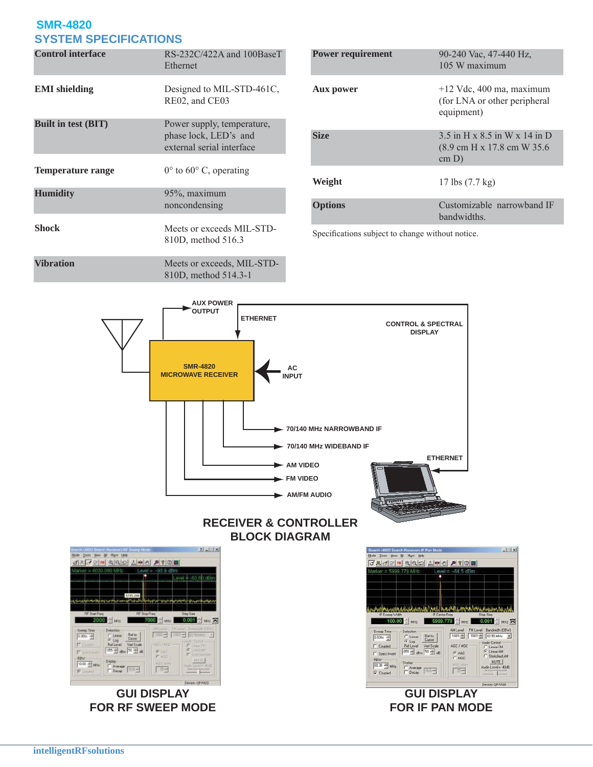## **SMR-4820 SYSTEM SPECIFICATIONS**

| <b>Control interface</b>   | $RS-232C/422A$ and 100BaseT<br>Ethernet                                          |
|----------------------------|----------------------------------------------------------------------------------|
| <b>EMI</b> shielding       | Designed to MIL-STD-461C,<br>RE02, and CE03                                      |
| <b>Built in test (BIT)</b> | Power supply, temperature,<br>phase lock, LED's and<br>external serial interface |
| <b>Temperature range</b>   | $0^{\circ}$ to $60^{\circ}$ C, operating                                         |
| <b>Humidity</b>            | 95%, maximum<br>noncondensing                                                    |
| Shock                      | Meets or exceeds MIL-STD-<br>810D, method 516.3                                  |
| <b>Vibration</b>           | Meets or exceeds, MIL-STD-<br>810D, method 514.3-1                               |

| <b>Power requirement</b> | 90-240 Vac, 47-440 Hz,<br>105 W maximum                                                      |
|--------------------------|----------------------------------------------------------------------------------------------|
| Aux power                | $+12$ Vdc, 400 ma, maximum<br>(for LNA or other peripheral<br>equipment)                     |
| <b>Size</b>              | $3.5$ in H x $8.5$ in W x 14 in D<br>$(8.9 \text{ cm H x } 17.8 \text{ cm W } 35.6)$<br>cm D |
| Weight                   | 17 lbs $(7.7 \text{ kg})$                                                                    |
| <b>Options</b>           | Customizable narrowband IF<br><b>bandwidths</b>                                              |

Specifications subject to change without notice.



### **RECEIVER & CONTROLLER BLOCK DIAGRAM**



**GUI DISPLAY FOR RF SWEEP MODE**

 $\left| \frac{1}{2} \right|$  x h (4820 Search R r) IF Pa Zoom Yew Bt Mgre Help 소버이  $73770992$  $P$  ? 0  $0.001 \div \text{MHz}$  $0.00 \div \text{MHz}$ 5999.779 MHz  $\frac{5 \text{ weep True}}{\left|0.030\text{i } \frac{-\pi}{1.5}\right|}$  $\begin{tabular}{|c|c|c|c|} \hline \multicolumn{1}{|c|}{AM Level} & \multicolumn{1}{|c|}{FMLevel} & \multicolumn{1}{|c|}{Bandwidth (DBW)} \\ \hline \hline \multicolumn{1}{|c|}{1003\frac{20}{1000}} & \multicolumn{1}{|c|}{1003\frac{20}{1000}} & \multicolumn{1}{|c|}{002\,50\,MHz} & \multicolumn{1}{|c|}{\underbrace{\bullet}} \\ \hline \end{tabular}$ Ref to<br>Cursor C Linear<br>G Log<br>Ref Level Audio Control<br>
C Linear FM<br>
C Linear AM<br>
C Stretched AM  $\Gamma$  Coupled Ref Level Vert Scale<br>055 = d8m 50 = d8 AGC / MGC  $\begin{array}{cc}\nG^T & \text{AGC} \\
\hline\nG^T & \text{MGC}\n\end{array}$  $\Gamma$  Spectin  $\frac{RBW}{[00.30 \frac{m}{m^2}]}$  MHz  $\frac{\text{MUTE}}{\text{Nult}} = 40.68$  $\begin{array}{|l|} \hline \mathsf{Diply} \\ \begin{tabular}{|c|c|} \hline \text{Diply} \\ \hline \text{F} & \text{Aversign} \\ \hline \text{F} & \text{Decay} \end{tabular} \hline \end{array}$ 图  $\overline{\nabla}$  Coupled <u>respons</u>

#### **GUI DISPLAY FOR IF PAN MODE**